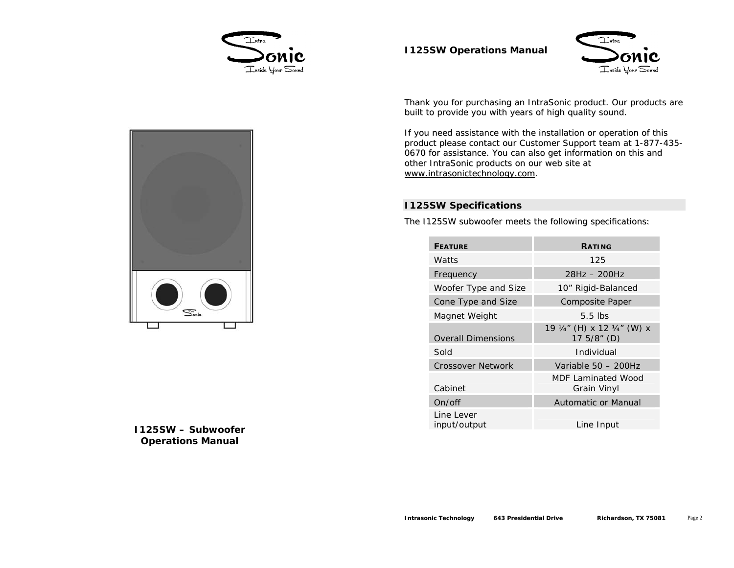



Thank you for purchasing an IntraSonic product. Our products are built to provide you with years of high quality sound.

If you need assistance with the installation or operation of this product please contact our Customer Support team at 1-877-435- 0670 for assistance. You can also ge<sup>t</sup> information on this and other IntraSonic products on our web site at www.intrasonictechnology.com.

# **I125SW Specifications**

The I125SW subwoofer meets the following specifications:

| <b>FFATURF</b>             | <b>RATING</b>                            |
|----------------------------|------------------------------------------|
| Watts                      | 125                                      |
| Frequency                  | $28Hz - 200Hz$                           |
| Woofer Type and Size       | 10" Rigid-Balanced                       |
| Cone Type and Size         | Composite Paper                          |
| Magnet Weight              | $5.5$ lbs                                |
| <b>Overall Dimensions</b>  | 19 ¼" (H) x 12 ¼" (W) x<br>17 5/8" (D)   |
| Sold                       | Individual                               |
| <b>Crossover Network</b>   | Variable 50 - 200Hz                      |
| Cabinet                    | MDF Laminated Wood<br><b>Grain Vinyl</b> |
| On/off                     | Automatic or Manual                      |
| Line Lever<br>input/output | Line Input                               |



**I125SW – SubwooferOperations Manual**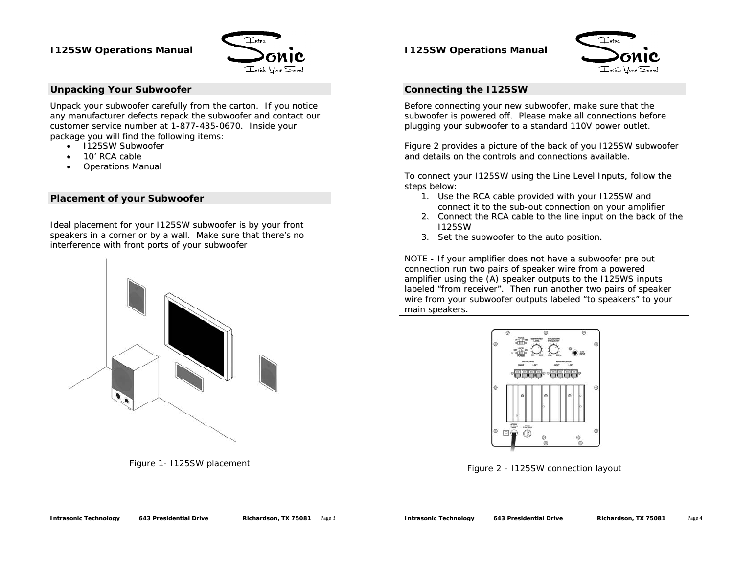

#### **Unpacking Your Subwoofer**

Unpack your subwoofer carefully from the carton. If you notice any manufacturer defects repack the subwoofer and contact our customer service number at 1-877-435-0670. Inside your package you will find the following items:

- I125SW Subwoofer
- •10' RCA cable
- •Operations Manual

### **Placement of your Subwoofer**

Ideal placement for your I125SW subwoofer is by your front speakers in <sup>a</sup> corner or by <sup>a</sup> wall. Make sure that there's no interference with front ports of your subwoofer



Figure 1- I125SW placement

### **I125SW Operations Manual**



#### **Connecting the I125SW**

Before connecting your new subwoofer, make sure that the subwoofer is powered off. Please make all connections before plugging your subwoofer to a standard 110V power outlet.

Figure 2 provides a picture of the back of you I125SW subwoofer and details on the controls and connections available.

To connect your I125SW using the Line Level Inputs, follow the steps below:

- connect it to the sub-out connection on your amplifier 1. Use the RCA cable provided with your I125SW and
- 2. Connect the RCA cable to the line input on the back of the I125SW
- 3. Set the subwoofer to the auto position

NOTE - If your amplifier does not have a subwoofer pre out connection run two pairs of speaker wire from <sup>a</sup> powered amplifier using the (A) speaker outputs to the I125WS inputs labeled "from receiver". Then run another two pairs of speaker wire from your subwoofer outputs labeled "to speakers" to your main speakers.



Figure 2 - I125SW connection layout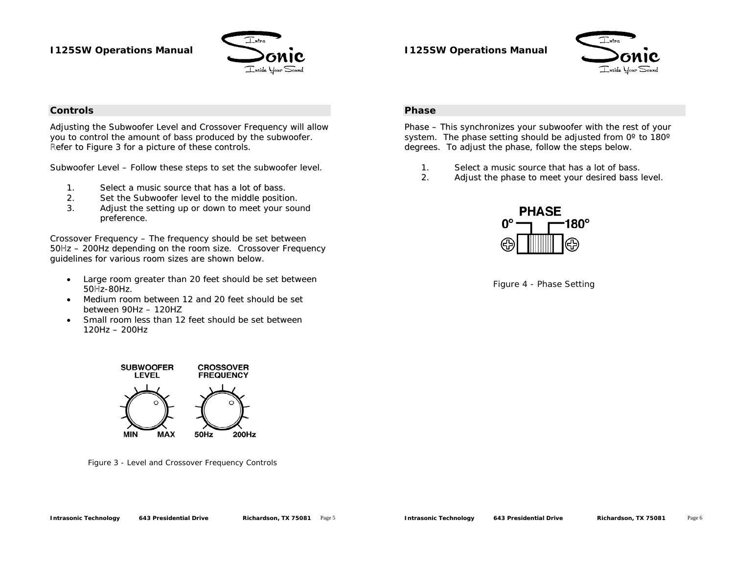

## **I125SW Operations Manual**



#### **Controls**

Adjusting the Subwoofer Level and Crossover Frequency will allow you to control the amount of bass produced by the subwoofer. Refer to Figure 3 for <sup>a</sup> picture of these controls. R

Subwoofer Level – Follow these steps to set the subwoofer level.

- 1.Select a music source that has <sup>a</sup> lot of bass.
- 2.Set the Subwoofer level to the middle position.
- 3. Adjust the setting up or down to meet your sound preference.

50Hz - 200Hz depending on the room size. Crossover Frequency guidelines for various room sizes are shown below. Crossover Frequency – The frequency should be set between

- Large room greater than 20 feet should be set between 50Hz-80Hz. •
- Medium room between 12 and 20 feet should be set between 90Hz – 120HZ
- • Small room less than 12 feet should be set between 120Hz – 200Hz

### **Phase**

hase – This synchronizes your subwoofer with the rest of your P system. The phase setting should be adjusted from 0° to 180 $^{\circ}$ degrees. To adjust the phase, follow the steps below.

- 1.Select a music source that has <sup>a</sup> lot of bass.
- 2.Adjust the phase to meet your desired bass le vel.



Figure 4 - Phase Setting



Figure 3 - Level and Crossover Frequency Controls